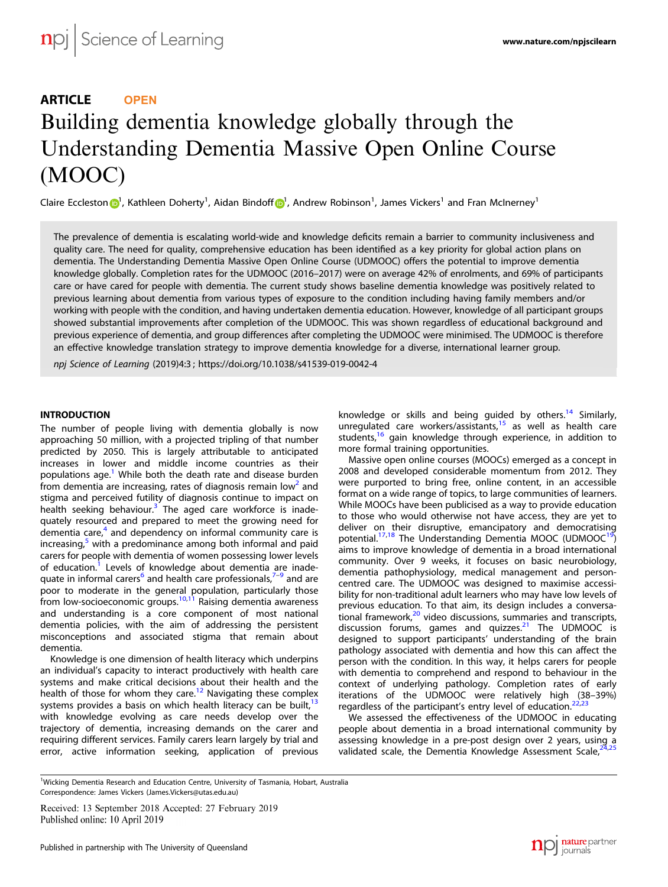# ARTICLE **OPEN** Building dementia knowledge globally through the Understanding Dementia Massive Open Online Course (MOOC)

Claire Eccleston **D**<sup>[1](http://orcid.org/0000-0002-0943-2702)</sup>, Kathleen Doherty<sup>1</sup>, Aidan Bindo[f](http://orcid.org/0000-0002-0943-2702)f D<sup>1</sup>, Andrew Robinson<sup>1</sup>, James Vickers<sup>1</sup> and Fran McInerney<sup>1</sup>

The prevalence of dementia is escalating world-wide and knowledge deficits remain a barrier to community inclusiveness and quality care. The need for quality, comprehensive education has been identified as a key priority for global action plans on dementia. The Understanding Dementia Massive Open Online Course (UDMOOC) offers the potential to improve dementia knowledge globally. Completion rates for the UDMOOC (2016–2017) were on average 42% of enrolments, and 69% of participants care or have cared for people with dementia. The current study shows baseline dementia knowledge was positively related to previous learning about dementia from various types of exposure to the condition including having family members and/or working with people with the condition, and having undertaken dementia education. However, knowledge of all participant groups showed substantial improvements after completion of the UDMOOC. This was shown regardless of educational background and previous experience of dementia, and group differences after completing the UDMOOC were minimised. The UDMOOC is therefore an effective knowledge translation strategy to improve dementia knowledge for a diverse, international learner group.

npj Science of Learning (2019) 4:3 ; https://doi.org/10[.1038/s41539-019-0042-4](https://doi.org/10.1038/s41539-019-0042-4)

The number of people living with dementia globally is now approaching 50 million, with a projected tripling of that number predicted by 2050. This is largely attributable to anticipated increases in lower and middle income countries as their populations age.<sup>[1](#page-4-0)</sup> While both the death rate and disease burden from dementia are increasing, rates of diagnosis remain  $\log^2$  and stigma and perceived futility of diagnosis continue to impact on health seeking behaviour.<sup>[3](#page-4-0)</sup> The aged care workforce is inadequately resourced and prepared to meet the growing need for dementia care, $4$  and dependency on informal community care is increasing, $5$  with a predominance among both informal and paid carers for people with dementia of women possessing lower levels of education.<sup>[1](#page-4-0)</sup> Levels of knowledge about dementia are inade-quate in informal carers<sup>[6](#page-4-0)</sup> and health care professionals,<sup>[7](#page-4-0)-[9](#page-4-0)</sup> and are poor to moderate in the general population, particularly those from low-socioeconomic groups.<sup>[10](#page-4-0),[11](#page-4-0)</sup> Raising dementia awareness and understanding is a core component of most national dementia policies, with the aim of addressing the persistent misconceptions and associated stigma that remain about dementia.

Knowledge is one dimension of health literacy which underpins an individual's capacity to interact productively with health care systems and make critical decisions about their health and the health of those for whom they care.<sup>[12](#page-4-0)</sup> Navigating these complex systems provides a basis on which health literacy can be built, $13$ with knowledge evolving as care needs develop over the trajectory of dementia, increasing demands on the carer and requiring different services. Family carers learn largely by trial and error, active information seeking, application of previous knowledge or skills and being guided by others.<sup>[14](#page-4-0)</sup> Similarly, unregulated care workers/assistants,<sup>[15](#page-4-0)</sup> as well as health care students,<sup>[16](#page-4-0)</sup> gain knowledge through experience, in addition to more formal training opportunities.

Massive open online courses (MOOCs) emerged as a concept in 2008 and developed considerable momentum from 2012. They were purported to bring free, online content, in an accessible format on a wide range of topics, to large communities of learners. While MOOCs have been publicised as a way to provide education to those who would otherwise not have access, they are yet to deliver on their disruptive, emancipatory and democratising potential[.17,18](#page-4-0) The Understanding Dementia MOOC (UDMOOC[19](#page-5-0)) aims to improve knowledge of dementia in a broad international community. Over 9 weeks, it focuses on basic neurobiology, dementia pathophysiology, medical management and personcentred care. The UDMOOC was designed to maximise accessibility for non-traditional adult learners who may have low levels of previous education. To that aim, its design includes a conversational framework, $20$  video discussions, summaries and transcripts, discussion forums, games and quizzes.<sup>[21](#page-5-0)</sup> The UDMOOC is designed to support participants' understanding of the brain pathology associated with dementia and how this can affect the person with the condition. In this way, it helps carers for people with dementia to comprehend and respond to behaviour in the context of underlying pathology. Completion rates of early iterations of the UDMOOC were relatively high (38–39%) regardless of the participant's entry level of education.<sup>[22,23](#page-5-0)</sup>

We assessed the effectiveness of the UDMOOC in educating people about dementia in a broad international community by assessing knowledge in a pre-post design over 2 years, using a validated scale, the Dementia Knowledge Assessment Scale, $^2$ 

<sup>&</sup>lt;sup>1</sup>Wicking Dementia Research and Education Centre, University of Tasmania, Hobart, Australia Correspondence: James Vickers ([James.Vickers@utas.edu.au\)](mailto:James.Vickers@utas.edu.au)

Received: 13 September 2018 Accepted: 27 February 2019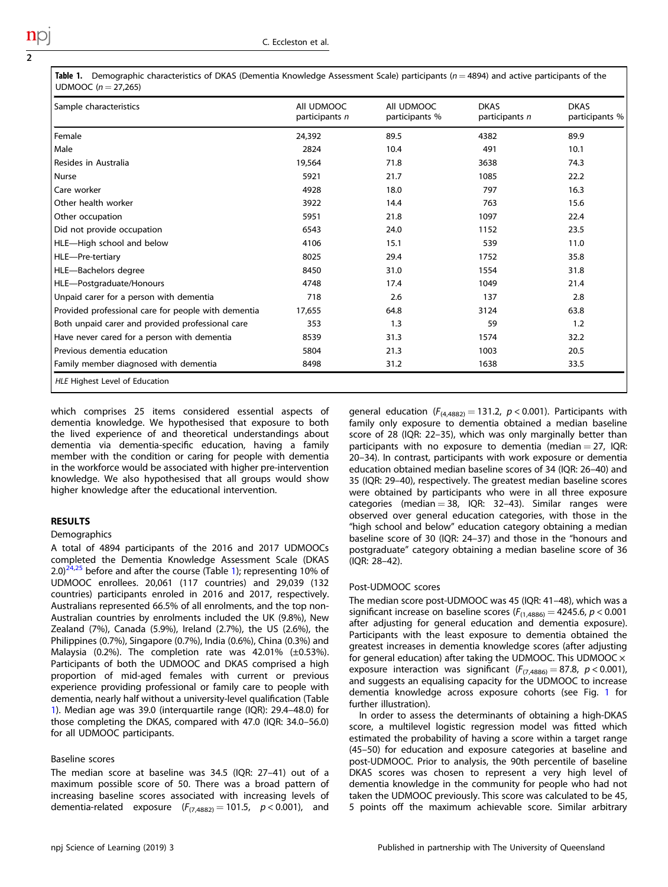| Table 1. | Demographic characteristics of DKAS (Dementia Knowledge Assessment Scale) participants ( $n = 4894$ ) and active participants of the |
|----------|--------------------------------------------------------------------------------------------------------------------------------------|
|          | UDMOOC $(n = 27,265)$                                                                                                                |

| Sample characteristics                              | All UDMOOC<br>participants n | All UDMOOC<br>participants % | <b>DKAS</b><br>participants n | <b>DKAS</b><br>participants % |
|-----------------------------------------------------|------------------------------|------------------------------|-------------------------------|-------------------------------|
| Female                                              | 24,392                       | 89.5                         | 4382                          | 89.9                          |
| Male                                                | 2824                         | 10.4                         | 491                           | 10.1                          |
| Resides in Australia                                | 19,564                       | 71.8                         | 3638                          | 74.3                          |
| <b>Nurse</b>                                        | 5921                         | 21.7                         | 1085                          | 22.2                          |
| Care worker                                         | 4928                         | 18.0                         | 797                           | 16.3                          |
| Other health worker                                 | 3922                         | 14.4                         | 763                           | 15.6                          |
| Other occupation                                    | 5951                         | 21.8                         | 1097                          | 22.4                          |
| Did not provide occupation                          | 6543                         | 24.0                         | 1152                          | 23.5                          |
| HLE-High school and below                           | 4106                         | 15.1                         | 539                           | 11.0                          |
| HLE-Pre-tertiary                                    | 8025                         | 29.4                         | 1752                          | 35.8                          |
| HLE-Bachelors degree                                | 8450                         | 31.0                         | 1554                          | 31.8                          |
| HLE-Postgraduate/Honours                            | 4748                         | 17.4                         | 1049                          | 21.4                          |
| Unpaid carer for a person with dementia             | 718                          | 2.6                          | 137                           | 2.8                           |
| Provided professional care for people with dementia | 17,655                       | 64.8                         | 3124                          | 63.8                          |
| Both unpaid carer and provided professional care    | 353                          | 1.3                          | 59                            | 1.2                           |
| Have never cared for a person with dementia         | 8539                         | 31.3                         | 1574                          | 32.2                          |
| Previous dementia education                         | 5804                         | 21.3                         | 1003                          | 20.5                          |
| Family member diagnosed with dementia               | 8498                         | 31.2                         | 1638                          | 33.5                          |

which comprises 25 items considered essential aspects of dementia knowledge. We hypothesised that exposure to both the lived experience of and theoretical understandings about dementia via dementia-specific education, having a family member with the condition or caring for people with dementia in the workforce would be associated with higher pre-intervention knowledge. We also hypothesised that all groups would show higher knowledge after the educational intervention.

# Demographics

A total of 4894 participants of the 2016 and 2017 UDMOOCs completed the Dementia Knowledge Assessment Scale (DKAS  $2.0$ <sup>[24,25](#page-5-0)</sup> before and after the course (Table 1); representing 10% of UDMOOC enrollees. 20,061 (117 countries) and 29,039 (132 countries) participants enroled in 2016 and 2017, respectively. Australians represented 66.5% of all enrolments, and the top non-Australian countries by enrolments included the UK (9.8%), New Zealand (7%), Canada (5.9%), Ireland (2.7%), the US (2.6%), the Philippines (0.7%), Singapore (0.7%), India (0.6%), China (0.3%) and Malaysia (0.2%). The completion rate was  $42.01\%$  ( $\pm$ 0.53%). Participants of both the UDMOOC and DKAS comprised a high proportion of mid-aged females with current or previous experience providing professional or family care to people with dementia, nearly half without a university-level qualification (Table 1). Median age was 39.0 (interquartile range (IQR): 29.4–48.0) for those completing the DKAS, compared with 47.0 (IQR: 34.0–56.0) for all UDMOOC participants.

### Baseline scores

The median score at baseline was 34.5 (IQR: 27–41) out of a maximum possible score of 50. There was a broad pattern of increasing baseline scores associated with increasing levels of dementia-related exposure  $(F_{(7,4882)} = 101.5, p < 0.001)$ , and general education ( $F_{(4,4882)} = 131.2$ ,  $p < 0.001$ ). Participants with family only exposure to dementia obtained a median baseline score of 28 (IQR: 22–35), which was only marginally better than participants with no exposure to dementia (median  $= 27$ , IQR: 20–34). In contrast, participants with work exposure or dementia education obtained median baseline scores of 34 (IQR: 26–40) and 35 (IQR: 29–40), respectively. The greatest median baseline scores were obtained by participants who were in all three exposure categories (median  $= 38$ , IQR: 32-43). Similar ranges were observed over general education categories, with those in the "high school and below" education category obtaining a median baseline score of 30 (IQR: 24–37) and those in the "honours and postgraduate" category obtaining a median baseline score of 36 (IQR: 28–42).

### Post-UDMOOC scores

The median score post-UDMOOC was 45 (IQR: 41–48), which was a significant increase on baseline scores ( $F_{(1,4886)} = 4245.6$ ,  $p < 0.001$ after adjusting for general education and dementia exposure). Participants with the least exposure to dementia obtained the greatest increases in dementia knowledge scores (after adjusting for general education) after taking the UDMOOC. This UDMOOC  $\times$ exposure interaction was significant ( $F_{(7,4886)} = 87.8$ ,  $p < 0.001$ ), and suggests an equalising capacity for the UDMOOC to increase dementia knowledge across exposure cohorts (see Fig. [1](#page-2-0) for further illustration).

In order to assess the determinants of obtaining a high-DKAS score, a multilevel logistic regression model was fitted which estimated the probability of having a score within a target range (45–50) for education and exposure categories at baseline and post-UDMOOC. Prior to analysis, the 90th percentile of baseline DKAS scores was chosen to represent a very high level of dementia knowledge in the community for people who had not taken the UDMOOC previously. This score was calculated to be 45, 5 points off the maximum achievable score. Similar arbitrary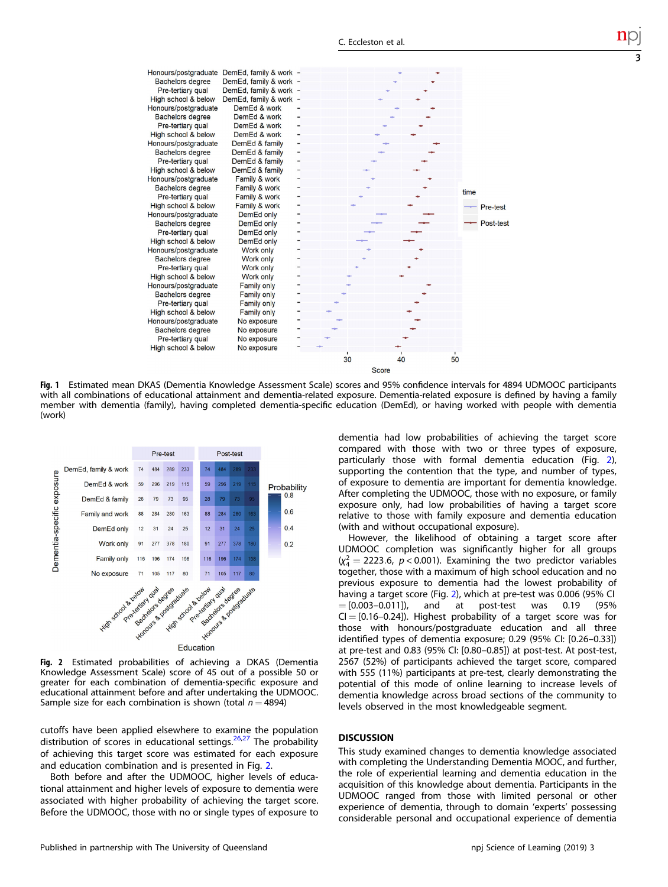<span id="page-2-0"></span>

Fig. 1 Estimated mean DKAS (Dementia Knowledge Assessment Scale) scores and 95% confidence intervals for 4894 UDMOOC participants with all combinations of educational attainment and dementia-related exposure. Dementia-related exposure is defined by having a family member with dementia (family), having completed dementia-specific education (DemEd), or having worked with people with dementia (work)



Fig. 2 Estimated probabilities of achieving a DKAS (Dementia Knowledge Assessment Scale) score of 45 out of a possible 50 or greater for each combination of dementia-specific exposure and educational attainment before and after undertaking the UDMOOC. Sample size for each combination is shown (total  $n = 4894$ )

cutoffs have been applied elsewhere to examine the population distribution of scores in educational settings.<sup>[26,27](#page-5-0)</sup> The probability of achieving this target score was estimated for each exposure and education combination and is presented in Fig. 2.

Both before and after the UDMOOC, higher levels of educational attainment and higher levels of exposure to dementia were associated with higher probability of achieving the target score. Before the UDMOOC, those with no or single types of exposure to dementia had low probabilities of achieving the target score compared with those with two or three types of exposure, particularly those with formal dementia education (Fig. 2), supporting the contention that the type, and number of types, of exposure to dementia are important for dementia knowledge. After completing the UDMOOC, those with no exposure, or family exposure only, had low probabilities of having a target score relative to those with family exposure and dementia education (with and without occupational exposure).

3

However, the likelihood of obtaining a target score after UDMOOC completion was significantly higher for all groups  $(x_4^2 = 2223.6, p < 0.001)$ . Examining the two predictor variables together, those with a maximum of high school education and no previous exposure to dementia had the lowest probability of having a target score (Fig. 2), which at pre-test was 0.006 (95% CI  $=[0.003-0.011]$ , and at post-test was 0.19 (95%  $CI = [0.16-0.24]$ ). Highest probability of a target score was for those with honours/postgraduate education and all three identified types of dementia exposure; 0.29 (95% CI: [0.26–0.33]) at pre-test and 0.83 (95% CI: [0.80–0.85]) at post-test. At post-test, 2567 (52%) of participants achieved the target score, compared with 555 (11%) participants at pre-test, clearly demonstrating the potential of this mode of online learning to increase levels of dementia knowledge across broad sections of the community to levels observed in the most knowledgeable segment.

This study examined changes to dementia knowledge associated with completing the Understanding Dementia MOOC, and further, the role of experiential learning and dementia education in the acquisition of this knowledge about dementia. Participants in the UDMOOC ranged from those with limited personal or other experience of dementia, through to domain 'experts' possessing considerable personal and occupational experience of dementia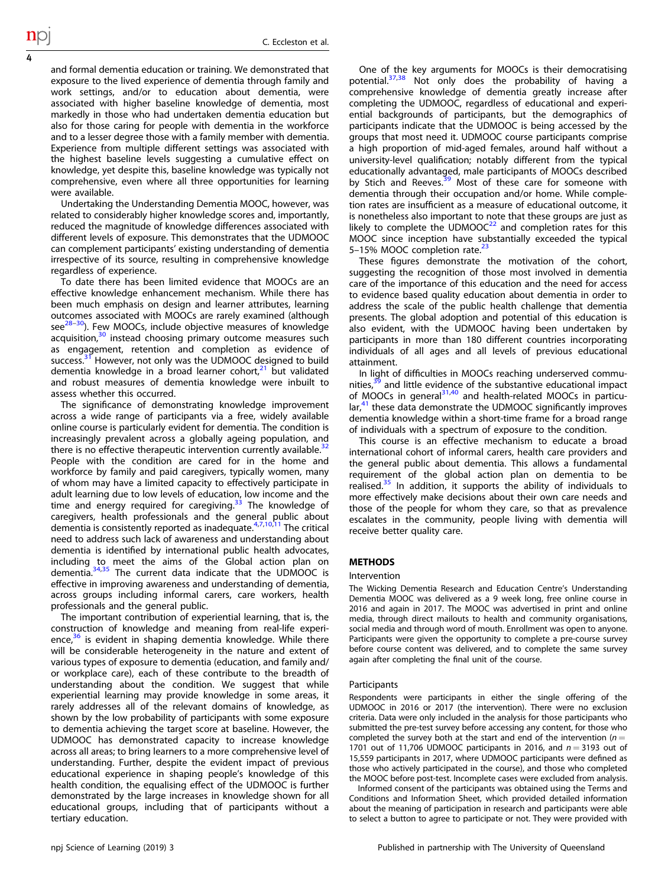and formal dementia education or training. We demonstrated that exposure to the lived experience of dementia through family and work settings, and/or to education about dementia, were associated with higher baseline knowledge of dementia, most markedly in those who had undertaken dementia education but also for those caring for people with dementia in the workforce and to a lesser degree those with a family member with dementia. Experience from multiple different settings was associated with the highest baseline levels suggesting a cumulative effect on knowledge, yet despite this, baseline knowledge was typically not comprehensive, even where all three opportunities for learning were available.

Undertaking the Understanding Dementia MOOC, however, was related to considerably higher knowledge scores and, importantly, reduced the magnitude of knowledge differences associated with different levels of exposure. This demonstrates that the UDMOOC can complement participants' existing understanding of dementia irrespective of its source, resulting in comprehensive knowledge regardless of experience.

To date there has been limited evidence that MOOCs are an effective knowledge enhancement mechanism. While there has been much emphasis on design and learner attributes, learning outcomes associated with MOOCs are rarely examined (although  $\text{see}^{28-30}$  $\text{see}^{28-30}$  $\text{see}^{28-30}$ ). Few MOOCs, include objective measures of knowledge acquisition, $30$  instead choosing primary outcome measures such as engagement, retention and completion as evidence of success.<sup>[31](#page-5-0)</sup> However, not only was the UDMOOC designed to build dementia knowledge in a broad learner cohort,<sup>[21](#page-5-0)</sup> but validated and robust measures of dementia knowledge were inbuilt to assess whether this occurred.

The significance of demonstrating knowledge improvement across a wide range of participants via a free, widely available online course is particularly evident for dementia. The condition is increasingly prevalent across a globally ageing population, and there is no effective therapeutic intervention currently available. $3$ People with the condition are cared for in the home and workforce by family and paid caregivers, typically women, many of whom may have a limited capacity to effectively participate in adult learning due to low levels of education, low income and the time and energy required for caregiving. $33$  The knowledge of caregivers, health professionals and the general public about<br>dementia is consistently reported as inadequate.<sup>[4,7,10,11](#page-4-0)</sup> The critical need to address such lack of awareness and understanding about dementia is identified by international public health advocates, including to meet the aims of the Global action plan on dementia.<sup>[34,35](#page-5-0)</sup> The current data indicate that the UDMOOC is effective in improving awareness and understanding of dementia, across groups including informal carers, care workers, health professionals and the general public.

The important contribution of experiential learning, that is, the construction of knowledge and meaning from real-life experience, $36$  is evident in shaping dementia knowledge. While there will be considerable heterogeneity in the nature and extent of various types of exposure to dementia (education, and family and/ or workplace care), each of these contribute to the breadth of understanding about the condition. We suggest that while experiential learning may provide knowledge in some areas, it rarely addresses all of the relevant domains of knowledge, as shown by the low probability of participants with some exposure to dementia achieving the target score at baseline. However, the UDMOOC has demonstrated capacity to increase knowledge across all areas; to bring learners to a more comprehensive level of understanding. Further, despite the evident impact of previous educational experience in shaping people's knowledge of this health condition, the equalising effect of the UDMOOC is further demonstrated by the large increases in knowledge shown for all educational groups, including that of participants without a tertiary education.

One of the key arguments for MOOCs is their democratising potential.[37](#page-5-0),[38](#page-5-0) Not only does the probability of having a comprehensive knowledge of dementia greatly increase after completing the UDMOOC, regardless of educational and experiential backgrounds of participants, but the demographics of participants indicate that the UDMOOC is being accessed by the groups that most need it. UDMOOC course participants comprise a high proportion of mid-aged females, around half without a university-level qualification; notably different from the typical educationally advantaged, male participants of MOOCs described by Stich and Reeves.<sup>[39](#page-5-0)</sup> Most of these care for someone with dementia through their occupation and/or home. While completion rates are insufficient as a measure of educational outcome, it is nonetheless also important to note that these groups are just as likely to complete the UDMOO $C<sup>22</sup>$  and completion rates for this MOOC since inception have substantially exceeded the typical 5-15% MOOC completion rate.<sup>[23](#page-5-0)</sup>

These figures demonstrate the motivation of the cohort, suggesting the recognition of those most involved in dementia care of the importance of this education and the need for access to evidence based quality education about dementia in order to address the scale of the public health challenge that dementia presents. The global adoption and potential of this education is also evident, with the UDMOOC having been undertaken by participants in more than 180 different countries incorporating individuals of all ages and all levels of previous educational attainment.

In light of difficulties in MOOCs reaching underserved communities, $39$  and little evidence of the substantive educational impact of MOOCs in general $31,40$  and health-related MOOCs in particular,<sup>41</sup> these data demonstrate the UDMOOC significantly improves dementia knowledge within a short-time frame for a broad range of individuals with a spectrum of exposure to the condition.

This course is an effective mechanism to educate a broad international cohort of informal carers, health care providers and the general public about dementia. This allows a fundamental requirement of the global action plan on dementia to be realised. $35$  In addition, it supports the ability of individuals to more effectively make decisions about their own care needs and those of the people for whom they care, so that as prevalence escalates in the community, people living with dementia will receive better quality care.

## Intervention

The Wicking Dementia Research and Education Centre's Understanding Dementia MOOC was delivered as a 9 week long, free online course in 2016 and again in 2017. The MOOC was advertised in print and online media, through direct mailouts to health and community organisations, social media and through word of mouth. Enrollment was open to anyone. Participants were given the opportunity to complete a pre-course survey before course content was delivered, and to complete the same survey again after completing the final unit of the course.

#### Participants

Respondents were participants in either the single offering of the UDMOOC in 2016 or 2017 (the intervention). There were no exclusion criteria. Data were only included in the analysis for those participants who submitted the pre-test survey before accessing any content, for those who completed the survey both at the start and end of the intervention ( $n =$ 1701 out of 11,706 UDMOOC participants in 2016, and  $n = 3193$  out of 15,559 participants in 2017, where UDMOOC participants were defined as those who actively participated in the course), and those who completed the MOOC before post-test. Incomplete cases were excluded from analysis.

Informed consent of the participants was obtained using the Terms and Conditions and Information Sheet, which provided detailed information about the meaning of participation in research and participants were able to select a button to agree to participate or not. They were provided with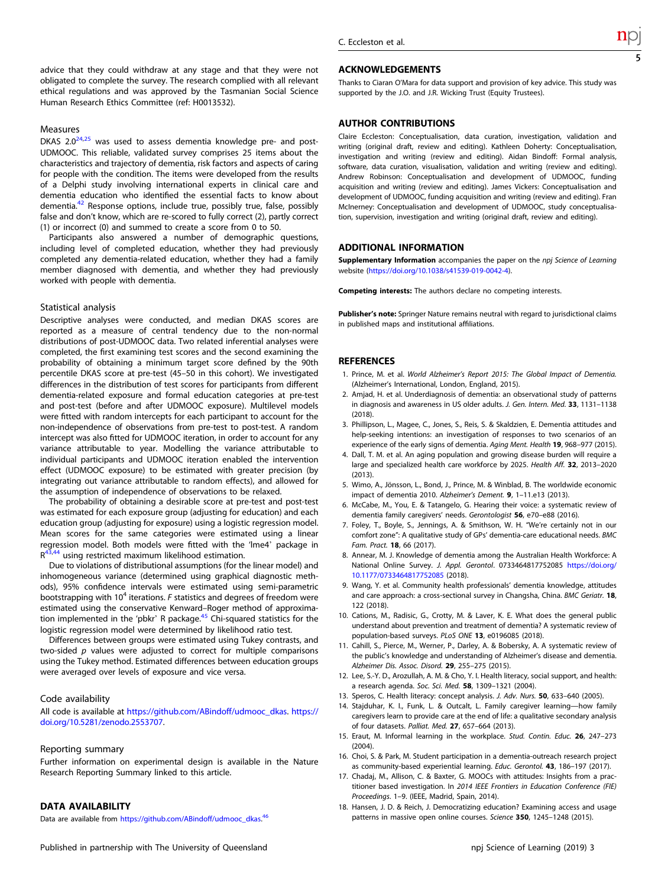<span id="page-4-0"></span>advice that they could withdraw at any stage and that they were not obligated to complete the survey. The research complied with all relevant ethical regulations and was approved by the Tasmanian Social Science Human Research Ethics Committee (ref: H0013532).

### Measures

DKAS  $2.0^{24,25}$  $2.0^{24,25}$  $2.0^{24,25}$  was used to assess dementia knowledge pre- and post-UDMOOC. This reliable, validated survey comprises 25 items about the characteristics and trajectory of dementia, risk factors and aspects of caring for people with the condition. The items were developed from the results of a Delphi study involving international experts in clinical care and dementia education who identified the essential facts to know about dementia.<sup>42</sup> Response options, include true, possibly true, false, possibly false and don't know, which are re-scored to fully correct (2), partly correct (1) or incorrect (0) and summed to create a score from 0 to 50.

Participants also answered a number of demographic questions, including level of completed education, whether they had previously completed any dementia-related education, whether they had a family member diagnosed with dementia, and whether they had previously worked with people with dementia.

### Statistical analysis

Descriptive analyses were conducted, and median DKAS scores are reported as a measure of central tendency due to the non-normal distributions of post-UDMOOC data. Two related inferential analyses were completed, the first examining test scores and the second examining the probability of obtaining a minimum target score defined by the 90th percentile DKAS score at pre-test (45–50 in this cohort). We investigated differences in the distribution of test scores for participants from different dementia-related exposure and formal education categories at pre-test and post-test (before and after UDMOOC exposure). Multilevel models were fitted with random intercepts for each participant to account for the non-independence of observations from pre-test to post-test. A random intercept was also fitted for UDMOOC iteration, in order to account for any variance attributable to year. Modelling the variance attributable to individual participants and UDMOOC iteration enabled the intervention effect (UDMOOC exposure) to be estimated with greater precision (by integrating out variance attributable to random effects), and allowed for the assumption of independence of observations to be relaxed.

The probability of obtaining a desirable score at pre-test and post-test was estimated for each exposure group (adjusting for education) and each education group (adjusting for exposure) using a logistic regression model. Mean scores for the same categories were estimated using a linear regression model. Both models were fitted with the 'lme4' package in  $R^{43,44}$  using restricted maximum likelihood estimation.

Due to violations of distributional assumptions (for the linear model) and inhomogeneous variance (determined using graphical diagnostic methods), 95% confidence intervals were estimated using semi-parametric bootstrapping with  $10^4$  iterations. F statistics and degrees of freedom were estimated using the conservative Kenward–Roger method of approximation implemented in the 'pbkr' R package[.45](#page-5-0) Chi-squared statistics for the logistic regression model were determined by likelihood ratio test.

Differences between groups were estimated using Tukey contrasts, and two-sided p values were adjusted to correct for multiple comparisons using the Tukey method. Estimated differences between education groups were averaged over levels of exposure and vice versa.

### Code availability

All code is available at [https://github.com/ABindoff/udmooc\\_dkas.](https://github.com/ABindoff/udmooc_dkas) [https://](https://doi.org/10.5281/zenodo.2553707) [doi.org/10.5281/zenodo.2553707](https://doi.org/10.5281/zenodo.2553707).

#### Reporting summary

Further information on experimental design is available in the Nature Research Reporting Summary linked to this article.

------------------------<br>Data are available from [https://github.com/ABindoff/udmooc\\_dkas.](https://github.com/ABindoff/udmooc_dkas)<sup>[46](#page-5-0)</sup>

### **ACKNOWLEDGEMENTS**

Thanks to Ciaran O'Mara for data support and provision of key advice. This study was supported by the J.O. and J.R. Wicking Trust (Equity Trustees).

AUTHOR CONTRIBUTIONS Claire Eccleston: Conceptualisation, data curation, investigation, validation and writing (original draft, review and editing). Kathleen Doherty: Conceptualisation, investigation and writing (review and editing). Aidan Bindoff: Formal analysis, software, data curation, visualisation, validation and writing (review and editing). Andrew Robinson: Conceptualisation and development of UDMOOC, funding acquisition and writing (review and editing). James Vickers: Conceptualisation and development of UDMOOC, funding acquisition and writing (review and editing). Fran McInerney: Conceptualisation and development of UDMOOC, study conceptualisation, supervision, investigation and writing (original draft, review and editing).

### **ADDITIONAL INFORMATION**

**Supplementary Information** accompanies the paper on the *npj Science of Learning*<br>website (https://doi.org/10.1029/c41520.010.0042.4) website (<https://doi.org/10.1038/s41539-019-0042-4>).

Competing interests: The authors declare no competing interests.

Publisher's note: Springer Nature remains neutral with regard to jurisdictional claims in published maps and institutional affiliations.

#### **REFERENCES**

- 1. Prince, M. et al. World Alzheimer's Report 2015: The Global Impact of Dementia. (Alzheimer's International, London, England, 2015).
- 2. Amjad, H. et al. Underdiagnosis of dementia: an observational study of patterns in diagnosis and awareness in US older adults. J. Gen. Intern. Med. 33, 1131–<sup>1138</sup>  $(2018)$
- 3. Phillipson, L., Magee, C., Jones, S., Reis, S. & Skaldzien, E. Dementia attitudes and help-seeking intentions: an investigation of responses to two scenarios of an experience of the early signs of dementia. Aging Ment. Health 19, 968–977 (2015).
- 4. Dall, T. M. et al. An aging population and growing disease burden will require a large and specialized health care workforce by 2025. Health Aff. 32, 2013–<sup>2020</sup>  $(2013)$
- 5. Wimo, A., Jönsson, L., Bond, J., Prince, M. & Winblad, B. The worldwide economic impact of dementia 2010. Alzheimer's Dement. 9, 1–11.e13 (2013).
- 6. McCabe, M., You, E. & Tatangelo, G. Hearing their voice: a systematic review of dementia family caregivers' needs. Gerontologist 56, e70–e88 (2016).
- 7. Foley, T., Boyle, S., Jennings, A. & Smithson, W. H. "We're certainly not in our comfort zone": A qualitative study of GPs' dementia-care educational needs. BMC Fam. Pract. 18, 66 (2017).
- 8. Annear, M. J. Knowledge of dementia among the Australian Health Workforce: A National Online Survey. J. Appl. Gerontol. 0733464817752085 [https://doi.org/](https://doi.org/10.1177/0733464817752085) [10.1177/0733464817752085](https://doi.org/10.1177/0733464817752085) (2018).
- 9. Wang, Y. et al. Community health professionals' dementia knowledge, attitudes and care approach: a cross-sectional survey in Changsha, China. BMC Geriatr. 18, 122 (2018).
- 10. Cations, M., Radisic, G., Crotty, M. & Laver, K. E. What does the general public understand about prevention and treatment of dementia? A systematic review of population-based surveys. PLoS ONE 13, e0196085 (2018).
- 11. Cahill, S., Pierce, M., Werner, P., Darley, A. & Bobersky, A. A systematic review of the public's knowledge and understanding of Alzheimer's disease and dementia. Alzheimer Dis. Assoc. Disord. 29, 255–275 (2015).
- 12. Lee, S.-Y. D., Arozullah, A. M. & Cho, Y. I. Health literacy, social support, and health: a research agenda. Soc. Sci. Med. 58, 1309–1321 (2004).
- 13. Speros, C. Health literacy: concept analysis. J. Adv. Nurs. 50, 633–640 (2005).
- 14. Stajduhar, K. I., Funk, L. & Outcalt, L. Family caregiver learning—how family caregivers learn to provide care at the end of life: a qualitative secondary analysis of four datasets. Palliat. Med. 27, 657–664 (2013).
- 15. Eraut, M. Informal learning in the workplace. Stud. Contin. Educ. 26, 247–<sup>273</sup> (2004).
- 16. Choi, S. & Park, M. Student participation in a dementia-outreach research project as community-based experiential learning. Educ. Gerontol. 43, 186–197 (2017).
- 17. Chadaj, M., Allison, C. & Baxter, G. MOOCs with attitudes: Insights from a practitioner based investigation. In 2014 IEEE Frontiers in Education Conference (FIE) Proceedings. 1–9. (IEEE, Madrid, Spain, 2014).
- 18. Hansen, J. D. & Reich, J. Democratizing education? Examining access and usage patterns in massive open online courses. Science 350, 1245–1248 (2015).